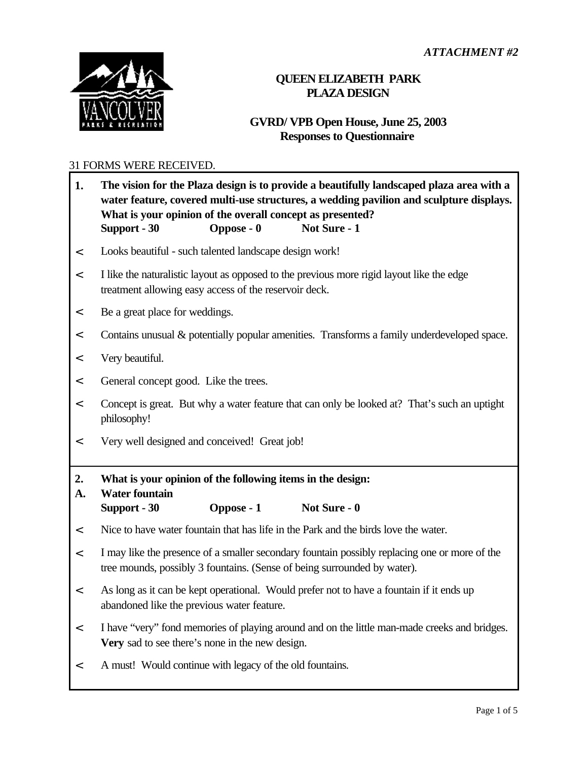

## **QUEEN ELIZABETH PARK PLAZA DESIGN**

## **GVRD/ VPB Open House, June 25, 2003 Responses to Questionnaire**

## 31 FORMS WERE RECEIVED.

| 1.       | What is your opinion of the overall concept as presented?<br>Support - 30                                                                                                 | Oppose - 0 | The vision for the Plaza design is to provide a beautifully landscaped plaza area with a<br>water feature, covered multi-use structures, a wedding pavilion and sculpture displays.<br>Not Sure - 1 |  |  |
|----------|---------------------------------------------------------------------------------------------------------------------------------------------------------------------------|------------|-----------------------------------------------------------------------------------------------------------------------------------------------------------------------------------------------------|--|--|
| $\,<$    | Looks beautiful - such talented landscape design work!                                                                                                                    |            |                                                                                                                                                                                                     |  |  |
| $\,<$    | I like the naturalistic layout as opposed to the previous more rigid layout like the edge<br>treatment allowing easy access of the reservoir deck.                        |            |                                                                                                                                                                                                     |  |  |
| $\,<$    | Be a great place for weddings.                                                                                                                                            |            |                                                                                                                                                                                                     |  |  |
| $\,<$    | Contains unusual & potentially popular amenities. Transforms a family underdeveloped space.                                                                               |            |                                                                                                                                                                                                     |  |  |
| $\,<$    | Very beautiful.                                                                                                                                                           |            |                                                                                                                                                                                                     |  |  |
| $\,<$    | General concept good. Like the trees.                                                                                                                                     |            |                                                                                                                                                                                                     |  |  |
| $\,<$    | Concept is great. But why a water feature that can only be looked at? That's such an uptight<br>philosophy!                                                               |            |                                                                                                                                                                                                     |  |  |
| $\,<$    | Very well designed and conceived! Great job!                                                                                                                              |            |                                                                                                                                                                                                     |  |  |
| 2.<br>A. | What is your opinion of the following items in the design:<br><b>Water fountain</b>                                                                                       |            |                                                                                                                                                                                                     |  |  |
|          | Support - 30                                                                                                                                                              | Oppose - 1 | Not Sure - 0                                                                                                                                                                                        |  |  |
| $\,<$    | Nice to have water fountain that has life in the Park and the birds love the water.                                                                                       |            |                                                                                                                                                                                                     |  |  |
| $\,<$    | I may like the presence of a smaller secondary fountain possibly replacing one or more of the<br>tree mounds, possibly 3 fountains. (Sense of being surrounded by water). |            |                                                                                                                                                                                                     |  |  |
| $\,<$    | As long as it can be kept operational. Would prefer not to have a fountain if it ends up<br>abandoned like the previous water feature.                                    |            |                                                                                                                                                                                                     |  |  |
| $\,<$    | I have "very" fond memories of playing around and on the little man-made creeks and bridges.<br>Very sad to see there's none in the new design.                           |            |                                                                                                                                                                                                     |  |  |
| $\,<$    | A must! Would continue with legacy of the old fountains.                                                                                                                  |            |                                                                                                                                                                                                     |  |  |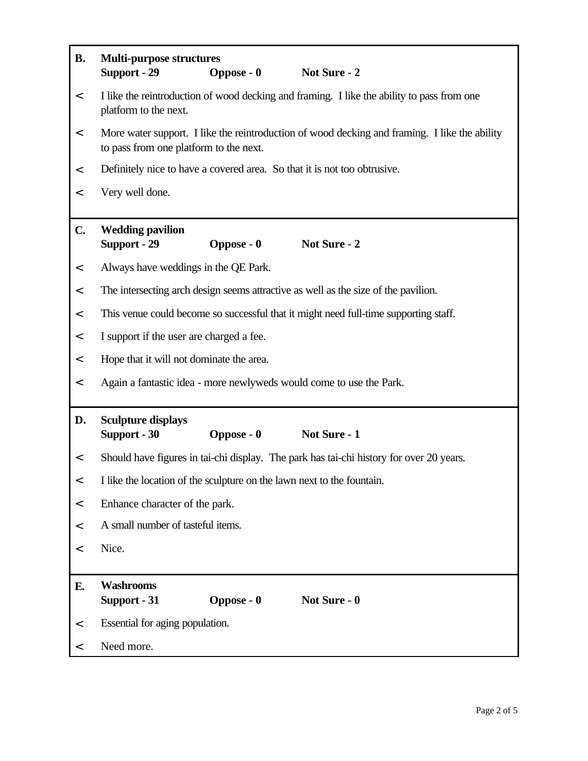| <b>B.</b>     | <b>Multi-purpose structures</b><br>Support - 29<br><b>Oppose - 0</b><br>Not Sure - 2                                                    |  |  |  |  |
|---------------|-----------------------------------------------------------------------------------------------------------------------------------------|--|--|--|--|
| $\,<$         | I like the reintroduction of wood decking and framing. I like the ability to pass from one<br>platform to the next.                     |  |  |  |  |
| $\,<$         | More water support. I like the reintroduction of wood decking and framing. I like the ability<br>to pass from one platform to the next. |  |  |  |  |
| $\,<$         | Definitely nice to have a covered area. So that it is not too obtrusive.                                                                |  |  |  |  |
| $\,<$         | Very well done.                                                                                                                         |  |  |  |  |
| $C_{\bullet}$ | <b>Wedding pavilion</b><br>Support - 29<br><b>Oppose - 0</b><br>Not Sure - 2                                                            |  |  |  |  |
| $\,<$         | Always have weddings in the QE Park.                                                                                                    |  |  |  |  |
| $\,<$         | The intersecting arch design seems attractive as well as the size of the pavilion.                                                      |  |  |  |  |
| $\,<$         | This venue could become so successful that it might need full-time supporting staff.                                                    |  |  |  |  |
| $\,<$         | I support if the user are charged a fee.                                                                                                |  |  |  |  |
| $\,<\,$       | Hope that it will not dominate the area.                                                                                                |  |  |  |  |
| $\,<\,$       | Again a fantastic idea - more newlyweds would come to use the Park.                                                                     |  |  |  |  |
| D.            | <b>Sculpture displays</b><br>Support - 30<br>Not Sure - 1<br>Oppose - 0                                                                 |  |  |  |  |
| $\,<\,$       | Should have figures in tai-chi display. The park has tai-chi history for over 20 years.                                                 |  |  |  |  |
| $\,<\,$       | I like the location of the sculpture on the lawn next to the fountain.                                                                  |  |  |  |  |
| $\,<\,$       | Enhance character of the park.                                                                                                          |  |  |  |  |
| $\,<\,$       | A small number of tasteful items.                                                                                                       |  |  |  |  |
| $\,<\,$       | Nice.                                                                                                                                   |  |  |  |  |
| E.            | <b>Washrooms</b><br>Oppose - 0<br>Not Sure - 0<br>Support - 31                                                                          |  |  |  |  |
| $\,<$         | Essential for aging population.                                                                                                         |  |  |  |  |
| $\,<\,$       | Need more.                                                                                                                              |  |  |  |  |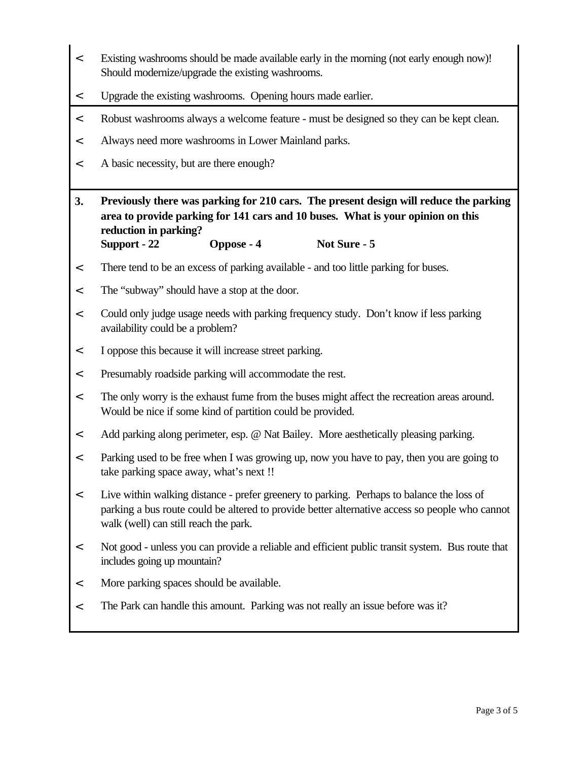- < Existing washrooms should be made available early in the morning (not early enough now)! Should modernize/upgrade the existing washrooms.
- < Upgrade the existing washrooms. Opening hours made earlier.
- < Robust washrooms always a welcome feature must be designed so they can be kept clean.
- < Always need more washrooms in Lower Mainland parks.
- < A basic necessity, but are there enough?
- **3. Previously there was parking for 210 cars. The present design will reduce the parking area to provide parking for 141 cars and 10 buses. What is your opinion on this reduction in parking? Support - 22 Oppose - 4 Not Sure - 5**
- < There tend to be an excess of parking available and too little parking for buses.
- < The "subway" should have a stop at the door.
- < Could only judge usage needs with parking frequency study. Don't know if less parking availability could be a problem?
- < I oppose this because it will increase street parking.
- < Presumably roadside parking will accommodate the rest.
- < The only worry is the exhaust fume from the buses might affect the recreation areas around. Would be nice if some kind of partition could be provided.
- < Add parking along perimeter, esp. @ Nat Bailey. More aesthetically pleasing parking.
- < Parking used to be free when I was growing up, now you have to pay, then you are going to take parking space away, what's next !!
- < Live within walking distance prefer greenery to parking. Perhaps to balance the loss of parking a bus route could be altered to provide better alternative access so people who cannot walk (well) can still reach the park.
- < Not good unless you can provide a reliable and efficient public transit system. Bus route that includes going up mountain?
- < More parking spaces should be available.
- < The Park can handle this amount. Parking was not really an issue before was it?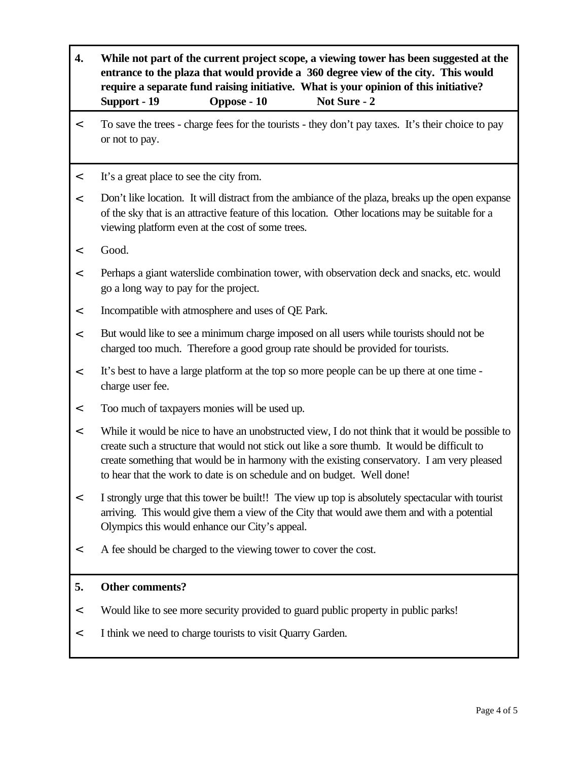**4. While not part of the current project scope, a viewing tower has been suggested at the entrance to the plaza that would provide a 360 degree view of the city. This would require a separate fund raising initiative. What is your opinion of this initiative? Support - 19 Oppose - 10 Not Sure - 2** < To save the trees - charge fees for the tourists - they don't pay taxes. It's their choice to pay or not to pay. < It's a great place to see the city from. < Don't like location. It will distract from the ambiance of the plaza, breaks up the open expanse of the sky that is an attractive feature of this location. Other locations may be suitable for a viewing platform even at the cost of some trees. < Good. < Perhaps a giant waterslide combination tower, with observation deck and snacks, etc. would go a long way to pay for the project. < Incompatible with atmosphere and uses of QE Park. < But would like to see a minimum charge imposed on all users while tourists should not be charged too much. Therefore a good group rate should be provided for tourists. < It's best to have a large platform at the top so more people can be up there at one time charge user fee. < Too much of taxpayers monies will be used up. < While it would be nice to have an unobstructed view, I do not think that it would be possible to create such a structure that would not stick out like a sore thumb. It would be difficult to create something that would be in harmony with the existing conservatory. I am very pleased to hear that the work to date is on schedule and on budget. Well done! < I strongly urge that this tower be built!! The view up top is absolutely spectacular with tourist arriving. This would give them a view of the City that would awe them and with a potential Olympics this would enhance our City's appeal. < A fee should be charged to the viewing tower to cover the cost. **5. Other comments?** < Would like to see more security provided to guard public property in public parks! < I think we need to charge tourists to visit Quarry Garden.